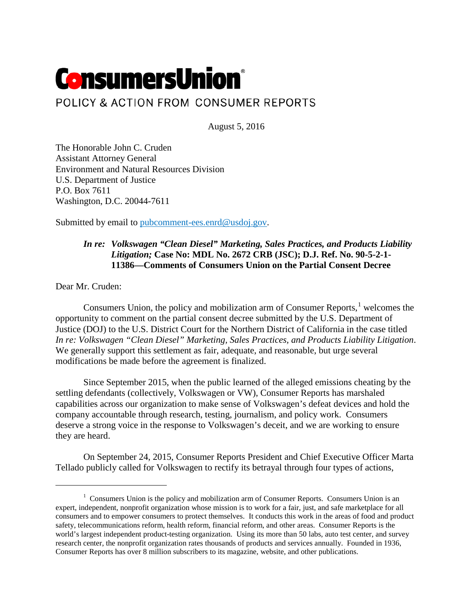# **ConsumersUnion**® POLICY & ACTION FROM CONSUMER REPORTS

August 5, 2016

The Honorable John C. Cruden Assistant Attorney General Environment and Natural Resources Division U.S. Department of Justice P.O. Box 7611 Washington, D.C. 20044-7611

Submitted by email to [pubcomment-ees.enrd@usdoj.gov.](mailto:pubcomment-ees.enrd@usdoj.gov)

# *In re: Volkswagen "Clean Diesel" Marketing, Sales Practices, and Products Liability Litigation;* **Case No: MDL No. 2672 CRB (JSC); D.J. Ref. No. 90-5-2-1- 11386—Comments of Consumers Union on the Partial Consent Decree**

Dear Mr. Cruden:

l

Consumers Union, the policy and mobilization arm of Consumer Reports, $<sup>1</sup>$  $<sup>1</sup>$  $<sup>1</sup>$  welcomes the</sup> opportunity to comment on the partial consent decree submitted by the U.S. Department of Justice (DOJ) to the U.S. District Court for the Northern District of California in the case titled *In re: Volkswagen "Clean Diesel" Marketing, Sales Practices, and Products Liability Litigation*. We generally support this settlement as fair, adequate, and reasonable, but urge several modifications be made before the agreement is finalized.

Since September 2015, when the public learned of the alleged emissions cheating by the settling defendants (collectively, Volkswagen or VW), Consumer Reports has marshaled capabilities across our organization to make sense of Volkswagen's defeat devices and hold the company accountable through research, testing, journalism, and policy work. Consumers deserve a strong voice in the response to Volkswagen's deceit, and we are working to ensure they are heard.

On September 24, 2015, Consumer Reports President and Chief Executive Officer Marta Tellado publicly called for Volkswagen to rectify its betrayal through four types of actions,

<span id="page-0-0"></span><sup>&</sup>lt;sup>1</sup> Consumers Union is the policy and mobilization arm of Consumer Reports. Consumers Union is an expert, independent, nonprofit organization whose mission is to work for a fair, just, and safe marketplace for all consumers and to empower consumers to protect themselves. It conducts this work in the areas of food and product safety, telecommunications reform, health reform, financial reform, and other areas. Consumer Reports is the world's largest independent product-testing organization. Using its more than 50 labs, auto test center, and survey research center, the nonprofit organization rates thousands of products and services annually. Founded in 1936, Consumer Reports has over 8 million subscribers to its magazine, website, and other publications.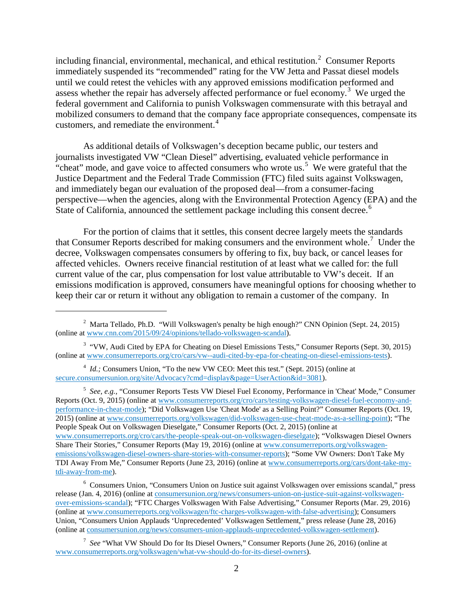including financial, environmental, mechanical, and ethical restitution.<sup>[2](#page-1-0)</sup> Consumer Reports immediately suspended its "recommended" rating for the VW Jetta and Passat diesel models until we could retest the vehicles with any approved emissions modification performed and assess whether the repair has adversely affected performance or fuel economy.<sup>[3](#page-1-1)</sup> We urged the federal government and California to punish Volkswagen commensurate with this betrayal and mobilized consumers to demand that the company face appropriate consequences, compensate its customers, and remediate the environment.<sup>[4](#page-1-2)</sup>

As additional details of Volkswagen's deception became public, our testers and journalists investigated VW "Clean Diesel" advertising, evaluated vehicle performance in "cheat" mode, and gave voice to affected consumers who wrote us.<sup>[5](#page-1-3)</sup> We were grateful that the Justice Department and the Federal Trade Commission (FTC) filed suits against Volkswagen, and immediately began our evaluation of the proposed deal—from a consumer-facing perspective—when the agencies, along with the Environmental Protection Agency (EPA) and the State of California, announced the settlement package including this consent decree.<sup>[6](#page-1-4)</sup>

For the portion of claims that it settles, this consent decree largely meets the standards that Consumer Reports described for making consumers and the environment whole.<sup>[7](#page-1-5)</sup> Under the decree, Volkswagen compensates consumers by offering to fix, buy back, or cancel leases for affected vehicles. Owners receive financial restitution of at least what we called for: the full current value of the car, plus compensation for lost value attributable to VW's deceit. If an emissions modification is approved, consumers have meaningful options for choosing whether to keep their car or return it without any obligation to remain a customer of the company. In

 $\overline{\phantom{a}}$ 

<span id="page-1-3"></span>5 *See, e.g.,* "Consumer Reports Tests VW Diesel Fuel Economy, Performance in 'Cheat' Mode," Consumer Reports (Oct. 9, 2015) (online a[t www.consumerreports.org/cro/cars/testing-volkswagen-diesel-fuel-economy-and](http://www.consumerreports.org/cro/cars/testing-volkswagen-diesel-fuel-economy-and-performance-in-cheat-mode)[performance-in-cheat-mode\)](http://www.consumerreports.org/cro/cars/testing-volkswagen-diesel-fuel-economy-and-performance-in-cheat-mode); "Did Volkswagen Use 'Cheat Mode' as a Selling Point?" Consumer Reports (Oct. 19, 2015) (online at [www.consumerreports.org/volkswagen/did-volkswagen-use-cheat-mode-as-a-selling-point\)](http://www.consumerreports.org/volkswagen/did-volkswagen-use-cheat-mode-as-a-selling-point); "The People Speak Out on Volkswagen Dieselgate," Consumer Reports (Oct. 2, 2015) (online at [www.consumerreports.org/cro/cars/the-people-speak-out-on-volkswagen-dieselgate\)](http://www.consumerreports.org/cro/cars/the-people-speak-out-on-volkswagen-dieselgate); "Volkswagen Diesel Owners Share Their Stories," Consumer Reports (May 19, 2016) (online at [www.consumerreports.org/volkswagen](http://www.consumerreports.org/volkswagen-emissions/volkswagen-diesel-owners-share-stories-with-consumer-reports)[emissions/volkswagen-diesel-owners-share-stories-with-consumer-reports\)](http://www.consumerreports.org/volkswagen-emissions/volkswagen-diesel-owners-share-stories-with-consumer-reports); "Some VW Owners: Don't Take My TDI Away From Me," Consumer Reports (June 23, 2016) (online at [www.consumerreports.org/cars/dont-take-my](http://www.consumerreports.org/cars/dont-take-my-tdi-away-from-me)[tdi-away-from-me\)](http://www.consumerreports.org/cars/dont-take-my-tdi-away-from-me).

<span id="page-1-4"></span><sup>6</sup> Consumers Union, "Consumers Union on Justice suit against Volkswagen over emissions scandal," press release (Jan. 4, 2016) (online at [consumersunion.org/news/consumers-union-on-justice-suit-against-volkswagen](http://consumersunion.org/news/consumers-union-on-justice-suit-against-volkswagen-over-emissions-scandal)[over-emissions-scandal\)](http://consumersunion.org/news/consumers-union-on-justice-suit-against-volkswagen-over-emissions-scandal); "FTC Charges Volkswagen With False Advertising," Consumer Reports (Mar. 29, 2016) (online at [www.consumerreports.org/volkswagen/ftc-charges-volkswagen-with-false-advertising\)](http://www.consumerreports.org/volkswagen/ftc-charges-volkswagen-with-false-advertising); Consumers Union, "Consumers Union Applauds 'Unprecedented' Volkswagen Settlement," press release (June 28, 2016) (online at [consumersunion.org/news/consumers-union-applauds-unprecedented-volkswagen-settlement\)](https://consumersunion.org/news/consumers-union-applauds-unprecedented-volkswagen-settlement).

<span id="page-1-5"></span>7 *See* "What VW Should Do for Its Diesel Owners," Consumer Reports (June 26, 2016) (online at [www.consumerreports.org/volkswagen/what-vw-should-do-for-its-diesel-owners\)](http://www.consumerreports.org/volkswagen/what-vw-should-do-for-its-diesel-owners).

<span id="page-1-0"></span><sup>&</sup>lt;sup>2</sup> Marta Tellado, Ph.D. "Will Volkswagen's penalty be high enough?" CNN Opinion (Sept. 24, 2015) (online at [www.cnn.com/2015/09/24/opinions/tellado-volkswagen-scandal\)](http://www.cnn.com/2015/09/24/opinions/tellado-volkswagen-scandal).

<span id="page-1-1"></span><sup>&</sup>lt;sup>3</sup> "VW, Audi Cited by EPA for Cheating on Diesel Emissions Tests," Consumer Reports (Sept. 30, 2015) (online at [www.consumerreports.org/cro/cars/vw--audi-cited-by-epa-for-cheating-on-diesel-emissions-tests\)](http://www.consumerreports.org/cro/cars/vw--audi-cited-by-epa-for-cheating-on-diesel-emissions-tests).

<span id="page-1-2"></span><sup>&</sup>lt;sup>4</sup> *Id.*; Consumers Union, "To the new VW CEO: Meet this test." (Sept. 2015) (online at [secure.consumersunion.org/site/Advocacy?cmd=display&page=UserAction&id=3081\)](https://secure.consumersunion.org/site/Advocacy?cmd=display&page=UserAction&id=3081).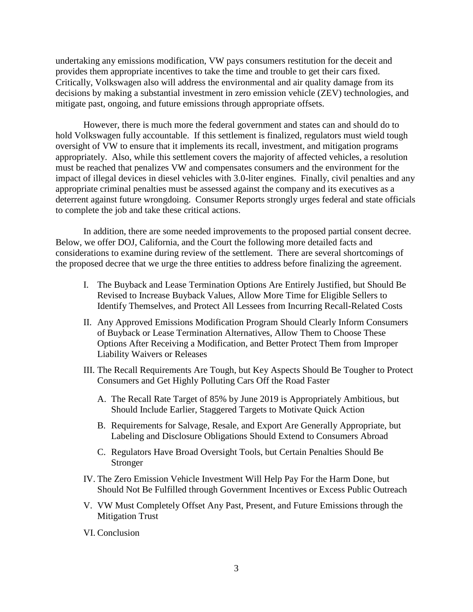undertaking any emissions modification, VW pays consumers restitution for the deceit and provides them appropriate incentives to take the time and trouble to get their cars fixed. Critically, Volkswagen also will address the environmental and air quality damage from its decisions by making a substantial investment in zero emission vehicle (ZEV) technologies, and mitigate past, ongoing, and future emissions through appropriate offsets.

However, there is much more the federal government and states can and should do to hold Volkswagen fully accountable. If this settlement is finalized, regulators must wield tough oversight of VW to ensure that it implements its recall, investment, and mitigation programs appropriately. Also, while this settlement covers the majority of affected vehicles, a resolution must be reached that penalizes VW and compensates consumers and the environment for the impact of illegal devices in diesel vehicles with 3.0-liter engines. Finally, civil penalties and any appropriate criminal penalties must be assessed against the company and its executives as a deterrent against future wrongdoing. Consumer Reports strongly urges federal and state officials to complete the job and take these critical actions.

In addition, there are some needed improvements to the proposed partial consent decree. Below, we offer DOJ, California, and the Court the following more detailed facts and considerations to examine during review of the settlement. There are several shortcomings of the proposed decree that we urge the three entities to address before finalizing the agreement.

- I. The Buyback and Lease Termination Options Are Entirely Justified, but Should Be Revised to Increase Buyback Values, Allow More Time for Eligible Sellers to Identify Themselves, and Protect All Lessees from Incurring Recall-Related Costs
- II. Any Approved Emissions Modification Program Should Clearly Inform Consumers of Buyback or Lease Termination Alternatives, Allow Them to Choose These Options After Receiving a Modification, and Better Protect Them from Improper Liability Waivers or Releases
- III. The Recall Requirements Are Tough, but Key Aspects Should Be Tougher to Protect Consumers and Get Highly Polluting Cars Off the Road Faster
	- A. The Recall Rate Target of 85% by June 2019 is Appropriately Ambitious, but Should Include Earlier, Staggered Targets to Motivate Quick Action
	- B. Requirements for Salvage, Resale, and Export Are Generally Appropriate, but Labeling and Disclosure Obligations Should Extend to Consumers Abroad
	- C. Regulators Have Broad Oversight Tools, but Certain Penalties Should Be Stronger
- IV. The Zero Emission Vehicle Investment Will Help Pay For the Harm Done, but Should Not Be Fulfilled through Government Incentives or Excess Public Outreach
- V. VW Must Completely Offset Any Past, Present, and Future Emissions through the Mitigation Trust
- VI. Conclusion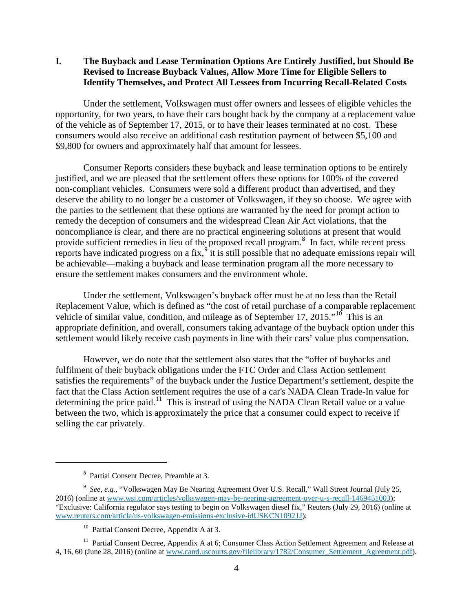**I. The Buyback and Lease Termination Options Are Entirely Justified, but Should Be Revised to Increase Buyback Values, Allow More Time for Eligible Sellers to Identify Themselves, and Protect All Lessees from Incurring Recall-Related Costs**

Under the settlement, Volkswagen must offer owners and lessees of eligible vehicles the opportunity, for two years, to have their cars bought back by the company at a replacement value of the vehicle as of September 17, 2015, or to have their leases terminated at no cost. These consumers would also receive an additional cash restitution payment of between \$5,100 and \$9,800 for owners and approximately half that amount for lessees.

Consumer Reports considers these buyback and lease termination options to be entirely justified, and we are pleased that the settlement offers these options for 100% of the covered non-compliant vehicles. Consumers were sold a different product than advertised, and they deserve the ability to no longer be a customer of Volkswagen, if they so choose. We agree with the parties to the settlement that these options are warranted by the need for prompt action to remedy the deception of consumers and the widespread Clean Air Act violations, that the noncompliance is clear, and there are no practical engineering solutions at present that would provide sufficient remedies in lieu of the proposed recall program.<sup>[8](#page-3-0)</sup> In fact, while recent press reports have indicated progress on a fix,<sup>[9](#page-3-1)</sup> it is still possible that no adequate emissions repair will be achievable—making a buyback and lease termination program all the more necessary to ensure the settlement makes consumers and the environment whole.

Under the settlement, Volkswagen's buyback offer must be at no less than the Retail Replacement Value, which is defined as "the cost of retail purchase of a comparable replacement vehicle of similar value, condition, and mileage as of September 17, 2015."<sup>[10](#page-3-2)</sup> This is an appropriate definition, and overall, consumers taking advantage of the buyback option under this settlement would likely receive cash payments in line with their cars' value plus compensation.

However, we do note that the settlement also states that the "offer of buybacks and fulfilment of their buyback obligations under the FTC Order and Class Action settlement satisfies the requirements" of the buyback under the Justice Department's settlement, despite the fact that the Class Action settlement requires the use of a car's NADA Clean Trade-In value for determining the price paid.<sup>11</sup> This is instead of using the NADA Clean Retail value or a value between the two, which is approximately the price that a consumer could expect to receive if selling the car privately.

 $\overline{\phantom{a}}$ 

<sup>8</sup> Partial Consent Decree, Preamble at 3.

<span id="page-3-1"></span><span id="page-3-0"></span><sup>&</sup>lt;sup>9</sup> See, e.g., "Volkswagen May Be Nearing Agreement Over U.S. Recall," Wall Street Journal (July 25, 2016) (online at [www.wsj.com/articles/volkswagen-may-be-nearing-agreement-over-u-s-recall-1469451003\)](http://www.wsj.com/articles/volkswagen-may-be-nearing-agreement-over-u-s-recall-1469451003); "Exclusive: California regulator says testing to begin on Volkswagen diesel fix," Reuters (July 29, 2016) (online at [www.reuters.com/article/us-volkswagen-emissions-exclusive-idUSKCN10921J\)](http://www.reuters.com/article/us-volkswagen-emissions-exclusive-idUSKCN10921J);

<sup>&</sup>lt;sup>10</sup> Partial Consent Decree, Appendix A at 3.

<span id="page-3-3"></span><span id="page-3-2"></span><sup>&</sup>lt;sup>11</sup> Partial Consent Decree, Appendix A at 6; Consumer Class Action Settlement Agreement and Release at 4, 16, 60 (June 28, 2016) (online at [www.cand.uscourts.gov/filelibrary/1782/Consumer\\_Settlement\\_Agreement.pdf\)](https://www.cand.uscourts.gov/filelibrary/1782/Consumer_Settlement_Agreement.pdf).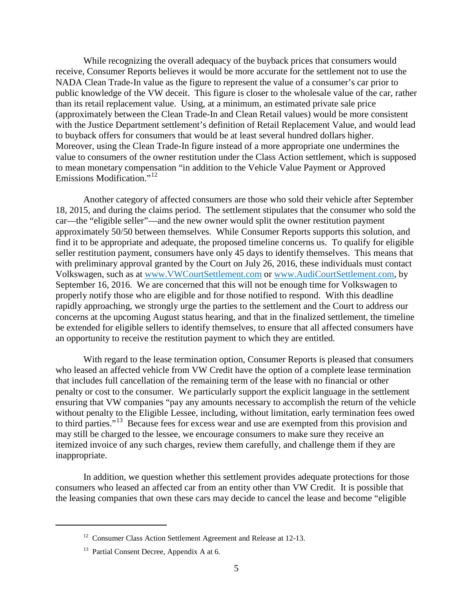While recognizing the overall adequacy of the buyback prices that consumers would receive, Consumer Reports believes it would be more accurate for the settlement not to use the NADA Clean Trade-In value as the figure to represent the value of a consumer's car prior to public knowledge of the VW deceit. This figure is closer to the wholesale value of the car, rather than its retail replacement value. Using, at a minimum, an estimated private sale price (approximately between the Clean Trade-In and Clean Retail values) would be more consistent with the Justice Department settlement's definition of Retail Replacement Value, and would lead to buyback offers for consumers that would be at least several hundred dollars higher. Moreover, using the Clean Trade-In figure instead of a more appropriate one undermines the value to consumers of the owner restitution under the Class Action settlement, which is supposed to mean monetary compensation "in addition to the Vehicle Value Payment or Approved Emissions Modification."<sup>[12](#page-4-0)</sup>

Another category of affected consumers are those who sold their vehicle after September 18, 2015, and during the claims period. The settlement stipulates that the consumer who sold the car—the "eligible seller"—and the new owner would split the owner restitution payment approximately 50/50 between themselves. While Consumer Reports supports this solution, and find it to be appropriate and adequate, the proposed timeline concerns us. To qualify for eligible seller restitution payment, consumers have only 45 days to identify themselves. This means that with preliminary approval granted by the Court on July 26, 2016, these individuals must contact Volkswagen, such as at [www.VWCourtSettlement.com](http://www.vwcourtsettlement.com/) or [www.AudiCourtSettlement.com,](http://www.audicourtsettlement.com/) by September 16, 2016. We are concerned that this will not be enough time for Volkswagen to properly notify those who are eligible and for those notified to respond. With this deadline rapidly approaching, we strongly urge the parties to the settlement and the Court to address our concerns at the upcoming August status hearing, and that in the finalized settlement, the timeline be extended for eligible sellers to identify themselves, to ensure that all affected consumers have an opportunity to receive the restitution payment to which they are entitled.

With regard to the lease termination option, Consumer Reports is pleased that consumers who leased an affected vehicle from VW Credit have the option of a complete lease termination that includes full cancellation of the remaining term of the lease with no financial or other penalty or cost to the consumer. We particularly support the explicit language in the settlement ensuring that VW companies "pay any amounts necessary to accomplish the return of the vehicle without penalty to the Eligible Lessee, including, without limitation, early termination fees owed to third parties."<sup>[13](#page-4-1)</sup> Because fees for excess wear and use are exempted from this provision and may still be charged to the lessee, we encourage consumers to make sure they receive an itemized invoice of any such charges, review them carefully, and challenge them if they are inappropriate.

<span id="page-4-0"></span>In addition, we question whether this settlement provides adequate protections for those consumers who leased an affected car from an entity other than VW Credit. It is possible that the leasing companies that own these cars may decide to cancel the lease and become "eligible

<sup>&</sup>lt;sup>12</sup> Consumer Class Action Settlement Agreement and Release at 12-13.

<span id="page-4-1"></span><sup>&</sup>lt;sup>13</sup> Partial Consent Decree, Appendix A at 6.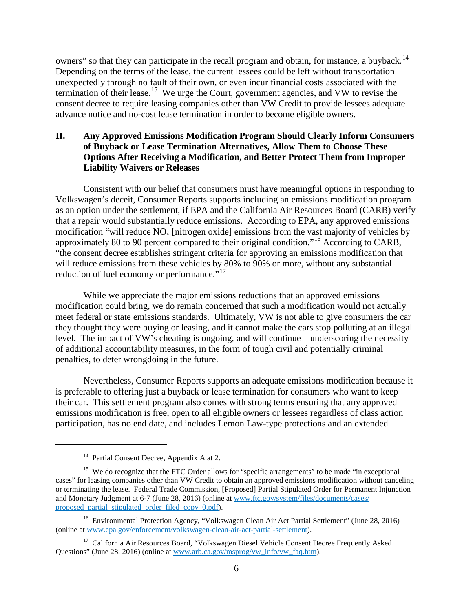owners" so that they can participate in the recall program and obtain, for instance, a buyback.<sup>[14](#page-5-0)</sup> Depending on the terms of the lease, the current lessees could be left without transportation unexpectedly through no fault of their own, or even incur financial costs associated with the termination of their lease.<sup>[15](#page-5-1)</sup> We urge the Court, government agencies, and VW to revise the consent decree to require leasing companies other than VW Credit to provide lessees adequate advance notice and no-cost lease termination in order to become eligible owners.

# **II. Any Approved Emissions Modification Program Should Clearly Inform Consumers of Buyback or Lease Termination Alternatives, Allow Them to Choose These Options After Receiving a Modification, and Better Protect Them from Improper Liability Waivers or Releases**

Consistent with our belief that consumers must have meaningful options in responding to Volkswagen's deceit, Consumer Reports supports including an emissions modification program as an option under the settlement, if EPA and the California Air Resources Board (CARB) verify that a repair would substantially reduce emissions. According to EPA, any approved emissions modification "will reduce  $NO<sub>x</sub>$  [nitrogen oxide] emissions from the vast majority of vehicles by approximately 80 to 90 percent compared to their original condition."[16](#page-5-2) According to CARB, "the consent decree establishes stringent criteria for approving an emissions modification that will reduce emissions from these vehicles by 80% to 90% or more, without any substantial reduction of fuel economy or performance."<sup>[17](#page-5-3)</sup>

While we appreciate the major emissions reductions that an approved emissions modification could bring, we do remain concerned that such a modification would not actually meet federal or state emissions standards. Ultimately, VW is not able to give consumers the car they thought they were buying or leasing, and it cannot make the cars stop polluting at an illegal level. The impact of VW's cheating is ongoing, and will continue—underscoring the necessity of additional accountability measures, in the form of tough civil and potentially criminal penalties, to deter wrongdoing in the future.

Nevertheless, Consumer Reports supports an adequate emissions modification because it is preferable to offering just a buyback or lease termination for consumers who want to keep their car. This settlement program also comes with strong terms ensuring that any approved emissions modification is free, open to all eligible owners or lessees regardless of class action participation, has no end date, and includes Lemon Law-type protections and an extended

<sup>&</sup>lt;sup>14</sup> Partial Consent Decree, Appendix A at 2.

<span id="page-5-1"></span><span id="page-5-0"></span><sup>&</sup>lt;sup>15</sup> We do recognize that the FTC Order allows for "specific arrangements" to be made "in exceptional" cases" for leasing companies other than VW Credit to obtain an approved emissions modification without canceling or terminating the lease. Federal Trade Commission, [Proposed] Partial Stipulated Order for Permanent Injunction and Monetary Judgment at 6-7 (June 28, 2016) (online at [www.ftc.gov/system/files/documents/cases/](http://www.ftc.gov/system/files/documents/cases/proposed_partial_stipulated_order_filed_copy_0.pdf) [proposed\\_partial\\_stipulated\\_order\\_filed\\_copy\\_0.pdf\)](http://www.ftc.gov/system/files/documents/cases/proposed_partial_stipulated_order_filed_copy_0.pdf).

<span id="page-5-2"></span><sup>&</sup>lt;sup>16</sup> Environmental Protection Agency, "Volkswagen Clean Air Act Partial Settlement" (June 28, 2016) (online at [www.epa.gov/enforcement/volkswagen-clean-air-act-partial-settlement\)](https://www.epa.gov/enforcement/volkswagen-clean-air-act-partial-settlement).

<span id="page-5-3"></span><sup>&</sup>lt;sup>17</sup> California Air Resources Board, "Volkswagen Diesel Vehicle Consent Decree Frequently Asked Questions" (June 28, 2016) (online at [www.arb.ca.gov/msprog/vw\\_info/vw\\_faq.htm\)](http://www.arb.ca.gov/msprog/vw_info/vw_faq.htm).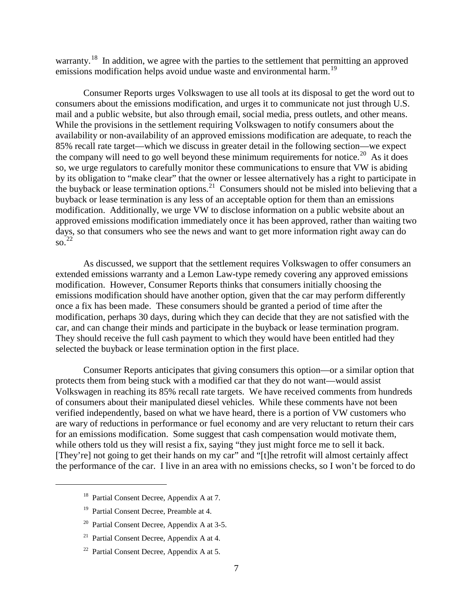warranty.<sup>[18](#page-6-0)</sup> In addition, we agree with the parties to the settlement that permitting an approved emissions modification helps avoid undue waste and environmental harm.<sup>[19](#page-6-1)</sup>

Consumer Reports urges Volkswagen to use all tools at its disposal to get the word out to consumers about the emissions modification, and urges it to communicate not just through U.S. mail and a public website, but also through email, social media, press outlets, and other means. While the provisions in the settlement requiring Volkswagen to notify consumers about the availability or non-availability of an approved emissions modification are adequate, to reach the 85% recall rate target—which we discuss in greater detail in the following section—we expect the company will need to go well beyond these minimum requirements for notice.<sup>[20](#page-6-2)</sup> As it does so, we urge regulators to carefully monitor these communications to ensure that VW is abiding by its obligation to "make clear" that the owner or lessee alternatively has a right to participate in the buyback or lease termination options.<sup>[21](#page-6-3)</sup> Consumers should not be misled into believing that a buyback or lease termination is any less of an acceptable option for them than an emissions modification. Additionally, we urge VW to disclose information on a public website about an approved emissions modification immediately once it has been approved, rather than waiting two days, so that consumers who see the news and want to get more information right away can do so. [22](#page-6-4)

As discussed, we support that the settlement requires Volkswagen to offer consumers an extended emissions warranty and a Lemon Law-type remedy covering any approved emissions modification. However, Consumer Reports thinks that consumers initially choosing the emissions modification should have another option, given that the car may perform differently once a fix has been made. These consumers should be granted a period of time after the modification, perhaps 30 days, during which they can decide that they are not satisfied with the car, and can change their minds and participate in the buyback or lease termination program. They should receive the full cash payment to which they would have been entitled had they selected the buyback or lease termination option in the first place.

Consumer Reports anticipates that giving consumers this option—or a similar option that protects them from being stuck with a modified car that they do not want—would assist Volkswagen in reaching its 85% recall rate targets. We have received comments from hundreds of consumers about their manipulated diesel vehicles. While these comments have not been verified independently, based on what we have heard, there is a portion of VW customers who are wary of reductions in performance or fuel economy and are very reluctant to return their cars for an emissions modification. Some suggest that cash compensation would motivate them, while others told us they will resist a fix, saying "they just might force me to sell it back. [They're] not going to get their hands on my car" and "[t]he retrofit will almost certainly affect the performance of the car. I live in an area with no emissions checks, so I won't be forced to do

- <sup>18</sup> Partial Consent Decree, Appendix A at 7.
- <sup>19</sup> Partial Consent Decree, Preamble at 4.

<span id="page-6-3"></span><span id="page-6-2"></span><span id="page-6-1"></span><span id="page-6-0"></span> $\overline{\phantom{a}}$ 

- <sup>20</sup> Partial Consent Decree, Appendix A at 3-5.
- <sup>21</sup> Partial Consent Decree, Appendix A at 4.
- <span id="page-6-4"></span> $22$  Partial Consent Decree, Appendix A at 5.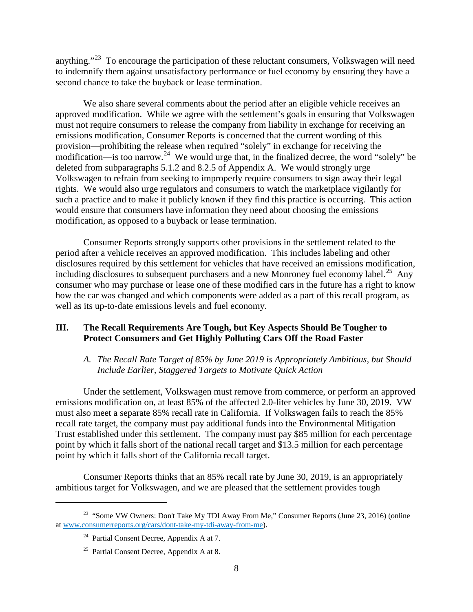anything."[23](#page-7-0) To encourage the participation of these reluctant consumers, Volkswagen will need to indemnify them against unsatisfactory performance or fuel economy by ensuring they have a second chance to take the buyback or lease termination.

We also share several comments about the period after an eligible vehicle receives an approved modification. While we agree with the settlement's goals in ensuring that Volkswagen must not require consumers to release the company from liability in exchange for receiving an emissions modification, Consumer Reports is concerned that the current wording of this provision—prohibiting the release when required "solely" in exchange for receiving the modification—is too narrow.<sup>[24](#page-7-1)</sup> We would urge that, in the finalized decree, the word "solely" be deleted from subparagraphs 5.1.2 and 8.2.5 of Appendix A. We would strongly urge Volkswagen to refrain from seeking to improperly require consumers to sign away their legal rights. We would also urge regulators and consumers to watch the marketplace vigilantly for such a practice and to make it publicly known if they find this practice is occurring. This action would ensure that consumers have information they need about choosing the emissions modification, as opposed to a buyback or lease termination.

Consumer Reports strongly supports other provisions in the settlement related to the period after a vehicle receives an approved modification. This includes labeling and other disclosures required by this settlement for vehicles that have received an emissions modification, including disclosures to subsequent purchasers and a new Monroney fuel economy label.<sup>[25](#page-7-2)</sup> Any consumer who may purchase or lease one of these modified cars in the future has a right to know how the car was changed and which components were added as a part of this recall program, as well as its up-to-date emissions levels and fuel economy.

# **III. The Recall Requirements Are Tough, but Key Aspects Should Be Tougher to Protect Consumers and Get Highly Polluting Cars Off the Road Faster**

#### *A. The Recall Rate Target of 85% by June 2019 is Appropriately Ambitious, but Should Include Earlier, Staggered Targets to Motivate Quick Action*

Under the settlement, Volkswagen must remove from commerce, or perform an approved emissions modification on, at least 85% of the affected 2.0-liter vehicles by June 30, 2019. VW must also meet a separate 85% recall rate in California. If Volkswagen fails to reach the 85% recall rate target, the company must pay additional funds into the Environmental Mitigation Trust established under this settlement. The company must pay \$85 million for each percentage point by which it falls short of the national recall target and \$13.5 million for each percentage point by which it falls short of the California recall target.

Consumer Reports thinks that an 85% recall rate by June 30, 2019, is an appropriately ambitious target for Volkswagen, and we are pleased that the settlement provides tough

<span id="page-7-2"></span><span id="page-7-1"></span><span id="page-7-0"></span><sup>&</sup>lt;sup>23</sup> "Some VW Owners: Don't Take My TDI Away From Me," Consumer Reports (June 23, 2016) (online a[t www.consumerreports.org/cars/dont-take-my-tdi-away-from-me\)](http://www.consumerreports.org/cars/dont-take-my-tdi-away-from-me).

<sup>&</sup>lt;sup>24</sup> Partial Consent Decree, Appendix A at 7.

<sup>&</sup>lt;sup>25</sup> Partial Consent Decree, Appendix A at 8.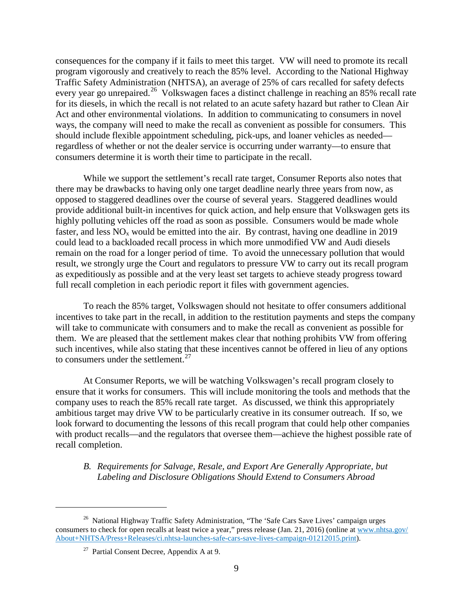consequences for the company if it fails to meet this target. VW will need to promote its recall program vigorously and creatively to reach the 85% level. According to the National Highway Traffic Safety Administration (NHTSA), an average of 25% of cars recalled for safety defects every year go unrepaired.<sup>[26](#page-8-0)</sup> Volkswagen faces a distinct challenge in reaching an 85% recall rate for its diesels, in which the recall is not related to an acute safety hazard but rather to Clean Air Act and other environmental violations. In addition to communicating to consumers in novel ways, the company will need to make the recall as convenient as possible for consumers. This should include flexible appointment scheduling, pick-ups, and loaner vehicles as needed regardless of whether or not the dealer service is occurring under warranty—to ensure that consumers determine it is worth their time to participate in the recall.

While we support the settlement's recall rate target, Consumer Reports also notes that there may be drawbacks to having only one target deadline nearly three years from now, as opposed to staggered deadlines over the course of several years. Staggered deadlines would provide additional built-in incentives for quick action, and help ensure that Volkswagen gets its highly polluting vehicles off the road as soon as possible. Consumers would be made whole faster, and less  $NO<sub>x</sub>$  would be emitted into the air. By contrast, having one deadline in 2019 could lead to a backloaded recall process in which more unmodified VW and Audi diesels remain on the road for a longer period of time. To avoid the unnecessary pollution that would result, we strongly urge the Court and regulators to pressure VW to carry out its recall program as expeditiously as possible and at the very least set targets to achieve steady progress toward full recall completion in each periodic report it files with government agencies.

To reach the 85% target, Volkswagen should not hesitate to offer consumers additional incentives to take part in the recall, in addition to the restitution payments and steps the company will take to communicate with consumers and to make the recall as convenient as possible for them. We are pleased that the settlement makes clear that nothing prohibits VW from offering such incentives, while also stating that these incentives cannot be offered in lieu of any options to consumers under the settlement. $27$ 

At Consumer Reports, we will be watching Volkswagen's recall program closely to ensure that it works for consumers. This will include monitoring the tools and methods that the company uses to reach the 85% recall rate target. As discussed, we think this appropriately ambitious target may drive VW to be particularly creative in its consumer outreach. If so, we look forward to documenting the lessons of this recall program that could help other companies with product recalls—and the regulators that oversee them—achieve the highest possible rate of recall completion.

#### *B. Requirements for Salvage, Resale, and Export Are Generally Appropriate, but Labeling and Disclosure Obligations Should Extend to Consumers Abroad*

<span id="page-8-1"></span><span id="page-8-0"></span><sup>&</sup>lt;sup>26</sup> National Highway Traffic Safety Administration, "The 'Safe Cars Save Lives' campaign urges consumers to check for open recalls at least twice a year," press release (Jan. 21, 2016) (online a[t www.nhtsa.gov/](http://www.nhtsa.gov/About+NHTSA/Press+Releases/ci.nhtsa-launches-safe-cars-save-lives-campaign-01212015.print) [About+NHTSA/Press+Releases/ci.nhtsa-launches-safe-cars-save-lives-campaign-01212015.print\)](http://www.nhtsa.gov/About+NHTSA/Press+Releases/ci.nhtsa-launches-safe-cars-save-lives-campaign-01212015.print).

 $27$  Partial Consent Decree, Appendix A at 9.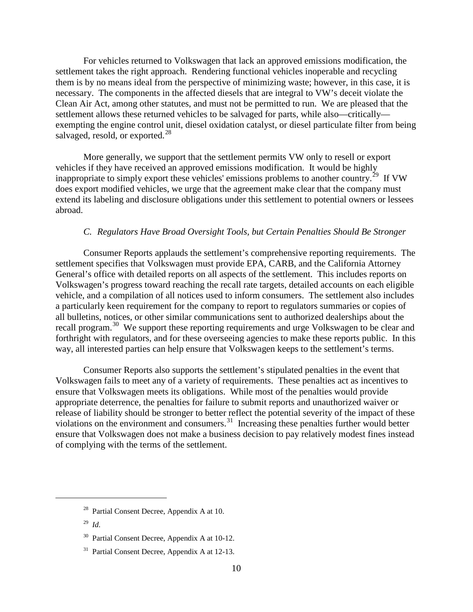For vehicles returned to Volkswagen that lack an approved emissions modification, the settlement takes the right approach. Rendering functional vehicles inoperable and recycling them is by no means ideal from the perspective of minimizing waste; however, in this case, it is necessary. The components in the affected diesels that are integral to VW's deceit violate the Clean Air Act, among other statutes, and must not be permitted to run. We are pleased that the settlement allows these returned vehicles to be salvaged for parts, while also—critically exempting the engine control unit, diesel oxidation catalyst, or diesel particulate filter from being salvaged, resold, or exported. $^{28}$  $^{28}$  $^{28}$ 

More generally, we support that the settlement permits VW only to resell or export vehicles if they have received an approved emissions modification. It would be highly inappropriate to simply export these vehicles' emissions problems to another country.<sup>[29](#page-9-1)</sup> If VW does export modified vehicles, we urge that the agreement make clear that the company must extend its labeling and disclosure obligations under this settlement to potential owners or lessees abroad.

# *C. Regulators Have Broad Oversight Tools, but Certain Penalties Should Be Stronger*

Consumer Reports applauds the settlement's comprehensive reporting requirements. The settlement specifies that Volkswagen must provide EPA, CARB, and the California Attorney General's office with detailed reports on all aspects of the settlement. This includes reports on Volkswagen's progress toward reaching the recall rate targets, detailed accounts on each eligible vehicle, and a compilation of all notices used to inform consumers. The settlement also includes a particularly keen requirement for the company to report to regulators summaries or copies of all bulletins, notices, or other similar communications sent to authorized dealerships about the recall program.<sup>30</sup> We support these reporting requirements and urge Volkswagen to be clear and forthright with regulators, and for these overseeing agencies to make these reports public. In this way, all interested parties can help ensure that Volkswagen keeps to the settlement's terms.

Consumer Reports also supports the settlement's stipulated penalties in the event that Volkswagen fails to meet any of a variety of requirements. These penalties act as incentives to ensure that Volkswagen meets its obligations. While most of the penalties would provide appropriate deterrence, the penalties for failure to submit reports and unauthorized waiver or release of liability should be stronger to better reflect the potential severity of the impact of these violations on the environment and consumers.<sup>31</sup> Increasing these penalties further would better ensure that Volkswagen does not make a business decision to pay relatively modest fines instead of complying with the terms of the settlement.

<span id="page-9-0"></span><sup>28</sup> Partial Consent Decree, Appendix A at 10.

<span id="page-9-1"></span><sup>29</sup> *Id.*

<span id="page-9-2"></span><sup>30</sup> Partial Consent Decree, Appendix A at 10-12.

<span id="page-9-3"></span><sup>&</sup>lt;sup>31</sup> Partial Consent Decree, Appendix A at 12-13.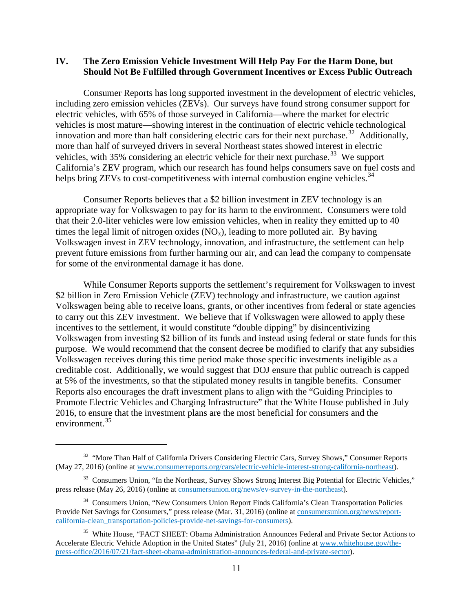#### **IV. The Zero Emission Vehicle Investment Will Help Pay For the Harm Done, but Should Not Be Fulfilled through Government Incentives or Excess Public Outreach**

Consumer Reports has long supported investment in the development of electric vehicles, including zero emission vehicles (ZEVs). Our surveys have found strong consumer support for electric vehicles, with 65% of those surveyed in California—where the market for electric vehicles is most mature—showing interest in the continuation of electric vehicle technological innovation and more than half considering electric cars for their next purchase.<sup>[32](#page-10-0)</sup> Additionally, more than half of surveyed drivers in several Northeast states showed interest in electric vehicles, with 35% considering an electric vehicle for their next purchase.<sup>33</sup> We support California's ZEV program, which our research has found helps consumers save on fuel costs and helps bring ZEVs to cost-competitiveness with internal combustion engine vehicles.<sup>[34](#page-10-2)</sup>

Consumer Reports believes that a \$2 billion investment in ZEV technology is an appropriate way for Volkswagen to pay for its harm to the environment. Consumers were told that their 2.0-liter vehicles were low emission vehicles, when in reality they emitted up to 40 times the legal limit of nitrogen oxides  $(NO_x)$ , leading to more polluted air. By having Volkswagen invest in ZEV technology, innovation, and infrastructure, the settlement can help prevent future emissions from further harming our air, and can lead the company to compensate for some of the environmental damage it has done.

While Consumer Reports supports the settlement's requirement for Volkswagen to invest \$2 billion in Zero Emission Vehicle (ZEV) technology and infrastructure, we caution against Volkswagen being able to receive loans, grants, or other incentives from federal or state agencies to carry out this ZEV investment. We believe that if Volkswagen were allowed to apply these incentives to the settlement, it would constitute "double dipping" by disincentivizing Volkswagen from investing \$2 billion of its funds and instead using federal or state funds for this purpose. We would recommend that the consent decree be modified to clarify that any subsidies Volkswagen receives during this time period make those specific investments ineligible as a creditable cost. Additionally, we would suggest that DOJ ensure that public outreach is capped at 5% of the investments, so that the stipulated money results in tangible benefits. Consumer Reports also encourages the draft investment plans to align with the "Guiding Principles to Promote Electric Vehicles and Charging Infrastructure" that the White House published in July 2016, to ensure that the investment plans are the most beneficial for consumers and the environment.<sup>[35](#page-10-3)</sup>

<span id="page-10-0"></span><sup>&</sup>lt;sup>32</sup> "More Than Half of California Drivers Considering Electric Cars, Survey Shows," Consumer Reports (May 27, 2016) (online at [www.consumerreports.org/cars/electric-vehicle-interest-strong-california-northeast\)](http://www.consumerreports.org/cars/electric-vehicle-interest-strong-california-northeast/).

<span id="page-10-1"></span><sup>&</sup>lt;sup>33</sup> Consumers Union, "In the Northeast, Survey Shows Strong Interest Big Potential for Electric Vehicles," press release (May 26, 2016) (online at [consumersunion.org/news/ev-survey-in-the-northeast\)](http://consumersunion.org/news/ev-survey-in-the-northeast).

<span id="page-10-2"></span><sup>&</sup>lt;sup>34</sup> Consumers Union, "New Consumers Union Report Finds California's Clean Transportation Policies Provide Net Savings for Consumers," press release (Mar. 31, 2016) (online at [consumersunion.org/news/report](http://consumersunion.org/news/report-california-clean_transportation-policies-provide-net-savings-for-consumers/)[california-clean\\_transportation-policies-provide-net-savings-for-consumers\)](http://consumersunion.org/news/report-california-clean_transportation-policies-provide-net-savings-for-consumers/).

<span id="page-10-3"></span><sup>&</sup>lt;sup>35</sup> White House, "FACT SHEET: Obama Administration Announces Federal and Private Sector Actions to Accelerate Electric Vehicle Adoption in the United States" (July 21, 2016) (online at [www.whitehouse.gov/the](https://www.whitehouse.gov/the-press-office/2016/07/21/fact-sheet-obama-administration-announces-federal-and-private-sector)[press-office/2016/07/21/fact-sheet-obama-administration-announces-federal-and-private-sector\)](https://www.whitehouse.gov/the-press-office/2016/07/21/fact-sheet-obama-administration-announces-federal-and-private-sector).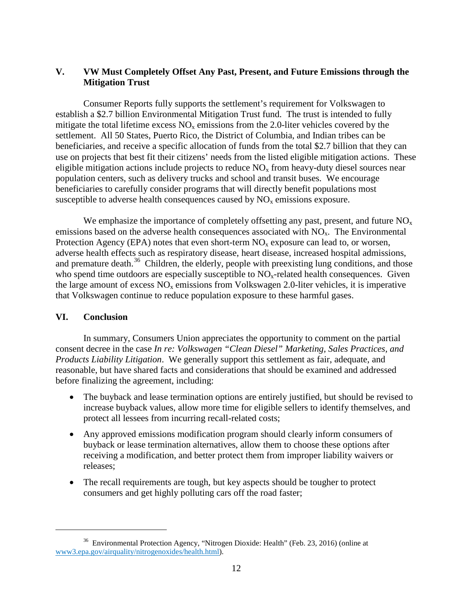# **V. VW Must Completely Offset Any Past, Present, and Future Emissions through the Mitigation Trust**

Consumer Reports fully supports the settlement's requirement for Volkswagen to establish a \$2.7 billion Environmental Mitigation Trust fund. The trust is intended to fully mitigate the total lifetime excess  $NO<sub>x</sub>$  emissions from the 2.0-liter vehicles covered by the settlement. All 50 States, Puerto Rico, the District of Columbia, and Indian tribes can be beneficiaries, and receive a specific allocation of funds from the total \$2.7 billion that they can use on projects that best fit their citizens' needs from the listed eligible mitigation actions. These eligible mitigation actions include projects to reduce  $NO<sub>x</sub>$  from heavy-duty diesel sources near population centers, such as delivery trucks and school and transit buses. We encourage beneficiaries to carefully consider programs that will directly benefit populations most susceptible to adverse health consequences caused by  $NO<sub>x</sub>$  emissions exposure.

We emphasize the importance of completely offsetting any past, present, and future  $NO<sub>x</sub>$ emissions based on the adverse health consequences associated with  $NO<sub>x</sub>$ . The Environmental Protection Agency (EPA) notes that even short-term  $NO<sub>x</sub>$  exposure can lead to, or worsen, adverse health effects such as respiratory disease, heart disease, increased hospital admissions, and premature death.<sup>36</sup> Children, the elderly, people with preexisting lung conditions, and those who spend time outdoors are especially susceptible to  $NO<sub>x</sub>$ -related health consequences. Given the large amount of excess  $NO<sub>x</sub>$  emissions from Volkswagen 2.0-liter vehicles, it is imperative that Volkswagen continue to reduce population exposure to these harmful gases.

#### **VI. Conclusion**

l

In summary, Consumers Union appreciates the opportunity to comment on the partial consent decree in the case *In re: Volkswagen "Clean Diesel" Marketing, Sales Practices, and Products Liability Litigation*. We generally support this settlement as fair, adequate, and reasonable, but have shared facts and considerations that should be examined and addressed before finalizing the agreement, including:

- The buyback and lease termination options are entirely justified, but should be revised to increase buyback values, allow more time for eligible sellers to identify themselves, and protect all lessees from incurring recall-related costs;
- Any approved emissions modification program should clearly inform consumers of buyback or lease termination alternatives, allow them to choose these options after receiving a modification, and better protect them from improper liability waivers or releases;
- The recall requirements are tough, but key aspects should be tougher to protect consumers and get highly polluting cars off the road faster;

<span id="page-11-0"></span><sup>36</sup> Environmental Protection Agency, "Nitrogen Dioxide: Health" (Feb. 23, 2016) (online at [www3.epa.gov/airquality/nitrogenoxides/health.html\)](https://www3.epa.gov/airquality/nitrogenoxides/health.html).